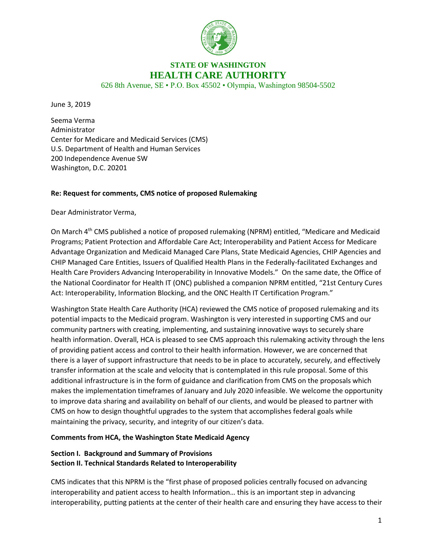

# **STATE OF WASHINGTON HEALTH CARE AUTHORITY**

626 8th Avenue, SE • P.O. Box 45502 • Olympia, Washington 98504-5502

June 3, 2019

Seema Verma Administrator Center for Medicare and Medicaid Services (CMS) U.S. Department of Health and Human Services 200 Independence Avenue SW Washington, D.C. 20201

#### **Re: Request for comments, CMS notice of proposed Rulemaking**

Dear Administrator Verma,

On March 4<sup>th</sup> CMS published a notice of proposed rulemaking (NPRM) entitled, "Medicare and Medicaid Programs; Patient Protection and Affordable Care Act; Interoperability and Patient Access for Medicare Advantage Organization and Medicaid Managed Care Plans, State Medicaid Agencies, CHIP Agencies and CHIP Managed Care Entities, Issuers of Qualified Health Plans in the Federally-facilitated Exchanges and Health Care Providers Advancing Interoperability in Innovative Models." On the same date, the Office of the National Coordinator for Health IT (ONC) published a companion NPRM entitled, "21st Century Cures Act: Interoperability, Information Blocking, and the ONC Health IT Certification Program."

Washington State Health Care Authority (HCA) reviewed the CMS notice of proposed rulemaking and its potential impacts to the Medicaid program. Washington is very interested in supporting CMS and our community partners with creating, implementing, and sustaining innovative ways to securely share health information. Overall, HCA is pleased to see CMS approach this rulemaking activity through the lens of providing patient access and control to their health information. However, we are concerned that there is a layer of support infrastructure that needs to be in place to accurately, securely, and effectively transfer information at the scale and velocity that is contemplated in this rule proposal. Some of this additional infrastructure is in the form of guidance and clarification from CMS on the proposals which makes the implementation timeframes of January and July 2020 infeasible. We welcome the opportunity to improve data sharing and availability on behalf of our clients, and would be pleased to partner with CMS on how to design thoughtful upgrades to the system that accomplishes federal goals while maintaining the privacy, security, and integrity of our citizen's data.

#### **Comments from HCA, the Washington State Medicaid Agency**

# **Section I. Background and Summary of Provisions Section II. Technical Standards Related to Interoperability**

CMS indicates that this NPRM is the "first phase of proposed policies centrally focused on advancing interoperability and patient access to health Information… this is an important step in advancing interoperability, putting patients at the center of their health care and ensuring they have access to their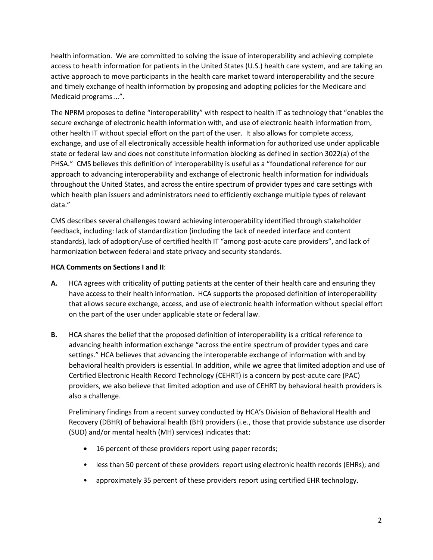health information. We are committed to solving the issue of interoperability and achieving complete access to health information for patients in the United States (U.S.) health care system, and are taking an active approach to move participants in the health care market toward interoperability and the secure and timely exchange of health information by proposing and adopting policies for the Medicare and Medicaid programs …".

The NPRM proposes to define "interoperability" with respect to health IT as technology that "enables the secure exchange of electronic health information with, and use of electronic health information from, other health IT without special effort on the part of the user. It also allows for complete access, exchange, and use of all electronically accessible health information for authorized use under applicable state or federal law and does not constitute information blocking as defined in section 3022(a) of the PHSA." CMS believes this definition of interoperability is useful as a "foundational reference for our approach to advancing interoperability and exchange of electronic health information for individuals throughout the United States, and across the entire spectrum of provider types and care settings with which health plan issuers and administrators need to efficiently exchange multiple types of relevant data."

CMS describes several challenges toward achieving interoperability identified through stakeholder feedback, including: lack of standardization (including the lack of needed interface and content standards), lack of adoption/use of certified health IT "among post-acute care providers", and lack of harmonization between federal and state privacy and security standards.

# **HCA Comments on Sections I and II**:

- **A.** HCA agrees with criticality of putting patients at the center of their health care and ensuring they have access to their health information. HCA supports the proposed definition of interoperability that allows secure exchange, access, and use of electronic health information without special effort on the part of the user under applicable state or federal law.
- **B.** HCA shares the belief that the proposed definition of interoperability is a critical reference to advancing health information exchange "across the entire spectrum of provider types and care settings." HCA believes that advancing the interoperable exchange of information with and by behavioral health providers is essential. In addition, while we agree that limited adoption and use of Certified Electronic Health Record Technology (CEHRT) is a concern by post-acute care (PAC) providers, we also believe that limited adoption and use of CEHRT by behavioral health providers is also a challenge.

Preliminary findings from a recent survey conducted by HCA's Division of Behavioral Health and Recovery (DBHR) of behavioral health (BH) providers (i.e., those that provide substance use disorder (SUD) and/or mental health (MH) services) indicates that:

- 16 percent of these providers report using paper records;
- less than 50 percent of these providers report using electronic health records (EHRs); and
- approximately 35 percent of these providers report using certified EHR technology.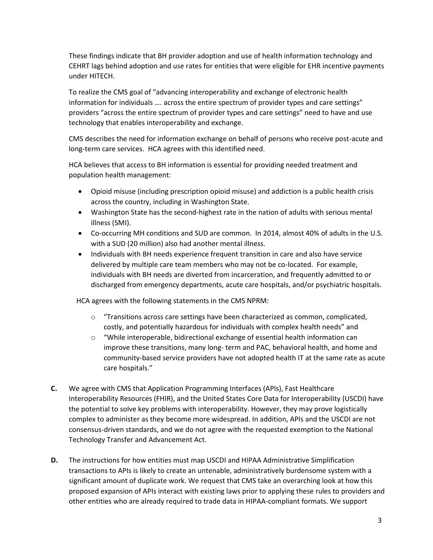These findings indicate that BH provider adoption and use of health information technology and CEHRT lags behind adoption and use rates for entities that were eligible for EHR incentive payments under HITECH.

To realize the CMS goal of "advancing interoperability and exchange of electronic health information for individuals …. across the entire spectrum of provider types and care settings" providers "across the entire spectrum of provider types and care settings" need to have and use technology that enables interoperability and exchange.

CMS describes the need for information exchange on behalf of persons who receive post-acute and long-term care services. HCA agrees with this identified need.

HCA believes that access to BH information is essential for providing needed treatment and population health management:

- Opioid misuse (including prescription opioid misuse) and addiction is a public health crisis across the country, including in Washington State.
- Washington State has the second-highest rate in the nation of adults with serious mental illness (SMI).
- Co-occurring MH conditions and SUD are common. In 2014, almost 40% of adults in the U.S. with a SUD (20 million) also had another mental illness.
- Individuals with BH needs experience frequent transition in care and also have service delivered by multiple care team members who may not be co-located. For example, individuals with BH needs are diverted from incarceration, and frequently admitted to or discharged from emergency departments, acute care hospitals, and/or psychiatric hospitals.

HCA agrees with the following statements in the CMS NPRM:

- $\circ$  "Transitions across care settings have been characterized as common, complicated, costly, and potentially hazardous for individuals with complex health needs" and
- $\circ$  "While interoperable, bidirectional exchange of essential health information can improve these transitions, many long- term and PAC, behavioral health, and home and community-based service providers have not adopted health IT at the same rate as acute care hospitals."
- **C.** We agree with CMS that Application Programming Interfaces (APIs), Fast Healthcare Interoperability Resources (FHIR), and the United States Core Data for Interoperability (USCDI) have the potential to solve key problems with interoperability. However, they may prove logistically complex to administer as they become more widespread. In addition, APIs and the USCDI are not consensus-driven standards, and we do not agree with the requested exemption to the National Technology Transfer and Advancement Act.
- **D.** The instructions for how entities must map USCDI and HIPAA Administrative Simplification transactions to APIs is likely to create an untenable, administratively burdensome system with a significant amount of duplicate work. We request that CMS take an overarching look at how this proposed expansion of APIs interact with existing laws prior to applying these rules to providers and other entities who are already required to trade data in HIPAA-compliant formats. We support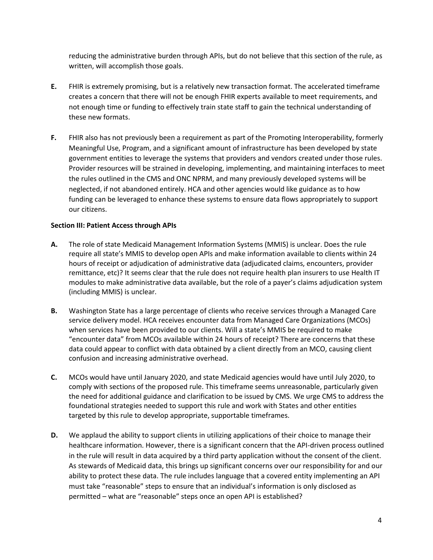reducing the administrative burden through APIs, but do not believe that this section of the rule, as written, will accomplish those goals.

- **E.** FHIR is extremely promising, but is a relatively new transaction format. The accelerated timeframe creates a concern that there will not be enough FHIR experts available to meet requirements, and not enough time or funding to effectively train state staff to gain the technical understanding of these new formats.
- **F.** FHIR also has not previously been a requirement as part of the Promoting Interoperability, formerly Meaningful Use, Program, and a significant amount of infrastructure has been developed by state government entities to leverage the systems that providers and vendors created under those rules. Provider resources will be strained in developing, implementing, and maintaining interfaces to meet the rules outlined in the CMS and ONC NPRM, and many previously developed systems will be neglected, if not abandoned entirely. HCA and other agencies would like guidance as to how funding can be leveraged to enhance these systems to ensure data flows appropriately to support our citizens.

#### **Section III: Patient Access through APIs**

- **A.** The role of state Medicaid Management Information Systems (MMIS) is unclear. Does the rule require all state's MMIS to develop open APIs and make information available to clients within 24 hours of receipt or adjudication of administrative data (adjudicated claims, encounters, provider remittance, etc)? It seems clear that the rule does not require health plan insurers to use Health IT modules to make administrative data available, but the role of a payer's claims adjudication system (including MMIS) is unclear.
- **B.** Washington State has a large percentage of clients who receive services through a Managed Care service delivery model. HCA receives encounter data from Managed Care Organizations (MCOs) when services have been provided to our clients. Will a state's MMIS be required to make "encounter data" from MCOs available within 24 hours of receipt? There are concerns that these data could appear to conflict with data obtained by a client directly from an MCO, causing client confusion and increasing administrative overhead.
- **C.** MCOs would have until January 2020, and state Medicaid agencies would have until July 2020, to comply with sections of the proposed rule. This timeframe seems unreasonable, particularly given the need for additional guidance and clarification to be issued by CMS. We urge CMS to address the foundational strategies needed to support this rule and work with States and other entities targeted by this rule to develop appropriate, supportable timeframes.
- **D.** We applaud the ability to support clients in utilizing applications of their choice to manage their healthcare information. However, there is a significant concern that the API-driven process outlined in the rule will result in data acquired by a third party application without the consent of the client. As stewards of Medicaid data, this brings up significant concerns over our responsibility for and our ability to protect these data. The rule includes language that a covered entity implementing an API must take "reasonable" steps to ensure that an individual's information is only disclosed as permitted – what are "reasonable" steps once an open API is established?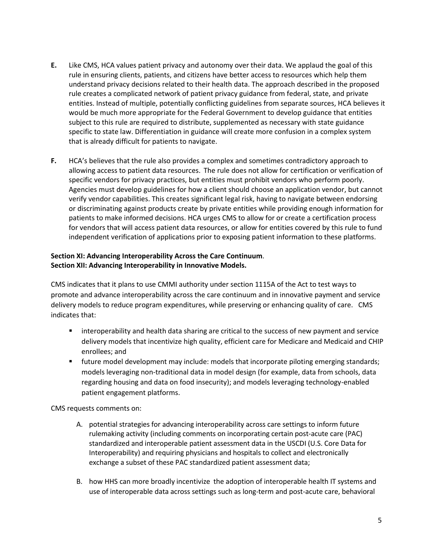- **E.** Like CMS, HCA values patient privacy and autonomy over their data. We applaud the goal of this rule in ensuring clients, patients, and citizens have better access to resources which help them understand privacy decisions related to their health data. The approach described in the proposed rule creates a complicated network of patient privacy guidance from federal, state, and private entities. Instead of multiple, potentially conflicting guidelines from separate sources, HCA believes it would be much more appropriate for the Federal Government to develop guidance that entities subject to this rule are required to distribute, supplemented as necessary with state guidance specific to state law. Differentiation in guidance will create more confusion in a complex system that is already difficult for patients to navigate.
- **F.** HCA's believes that the rule also provides a complex and sometimes contradictory approach to allowing access to patient data resources. The rule does not allow for certification or verification of specific vendors for privacy practices, but entities must prohibit vendors who perform poorly. Agencies must develop guidelines for how a client should choose an application vendor, but cannot verify vendor capabilities. This creates significant legal risk, having to navigate between endorsing or discriminating against products create by private entities while providing enough information for patients to make informed decisions. HCA urges CMS to allow for or create a certification process for vendors that will access patient data resources, or allow for entities covered by this rule to fund independent verification of applications prior to exposing patient information to these platforms.

# **Section XI: Advancing Interoperability Across the Care Continuum**. **Section XII: Advancing Interoperability in Innovative Models.**

CMS indicates that it plans to use CMMI authority under section 1115A of the Act to test ways to promote and advance interoperability across the care continuum and in innovative payment and service delivery models to reduce program expenditures, while preserving or enhancing quality of care. CMS indicates that:

- interoperability and health data sharing are critical to the success of new payment and service delivery models that incentivize high quality, efficient care for Medicare and Medicaid and CHIP enrollees; and
- **future model development may include: models that incorporate piloting emerging standards;** models leveraging non-traditional data in model design (for example, data from schools, data regarding housing and data on food insecurity); and models leveraging technology-enabled patient engagement platforms.

CMS requests comments on:

- A. potential strategies for advancing interoperability across care settings to inform future rulemaking activity (including comments on incorporating certain post-acute care (PAC) standardized and interoperable patient assessment data in the USCDI (U.S. Core Data for Interoperability) and requiring physicians and hospitals to collect and electronically exchange a subset of these PAC standardized patient assessment data;
- B. how HHS can more broadly incentivize the adoption of interoperable health IT systems and use of interoperable data across settings such as long-term and post-acute care, behavioral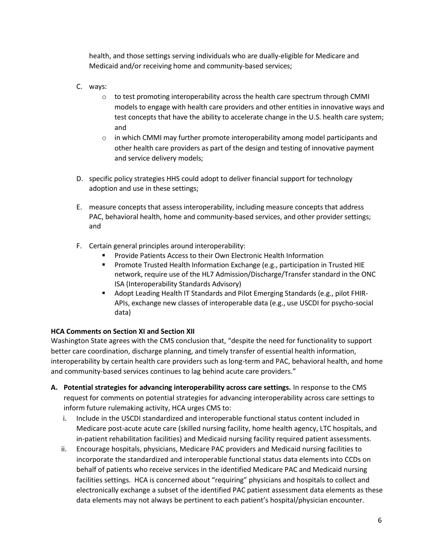health, and those settings serving individuals who are dually-eligible for Medicare and Medicaid and/or receiving home and community-based services;

- C. ways:
	- $\circ$  to test promoting interoperability across the health care spectrum through CMMI models to engage with health care providers and other entities in innovative ways and test concepts that have the ability to accelerate change in the U.S. health care system; and
	- $\circ$  in which CMMI may further promote interoperability among model participants and other health care providers as part of the design and testing of innovative payment and service delivery models;
- D. specific policy strategies HHS could adopt to deliver financial support for technology adoption and use in these settings;
- E. measure concepts that assess interoperability, including measure concepts that address PAC, behavioral health, home and community-based services, and other provider settings; and
- F. Certain general principles around interoperability:
	- Provide Patients Access to their Own Electronic Health Information
	- **Promote Trusted Health Information Exchange (e.g., participation in Trusted HIE** network, require use of the HL7 Admission/Discharge/Transfer standard in the ONC ISA (Interoperability Standards Advisory)
	- Adopt Leading Health IT Standards and Pilot Emerging Standards (e.g., pilot FHIR-APIs, exchange new classes of interoperable data (e.g., use USCDI for psycho-social data)

# **HCA Comments on Section XI and Section XII**

Washington State agrees with the CMS conclusion that, "despite the need for functionality to support better care coordination, discharge planning, and timely transfer of essential health information, interoperability by certain health care providers such as long-term and PAC, behavioral health, and home and community-based services continues to lag behind acute care providers."

- **A. Potential strategies for advancing interoperability across care settings.** In response to the CMS request for comments on potential strategies for advancing interoperability across care settings to inform future rulemaking activity, HCA urges CMS to:
	- i. Include in the USCDI standardized and interoperable functional status content included in Medicare post-acute acute care (skilled nursing facility, home health agency, LTC hospitals, and in-patient rehabilitation facilities) and Medicaid nursing facility required patient assessments.
	- ii. Encourage hospitals, physicians, Medicare PAC providers and Medicaid nursing facilities to incorporate the standardized and interoperable functional status data elements into CCDs on behalf of patients who receive services in the identified Medicare PAC and Medicaid nursing facilities settings. HCA is concerned about "requiring" physicians and hospitals to collect and electronically exchange a subset of the identified PAC patient assessment data elements as these data elements may not always be pertinent to each patient's hospital/physician encounter.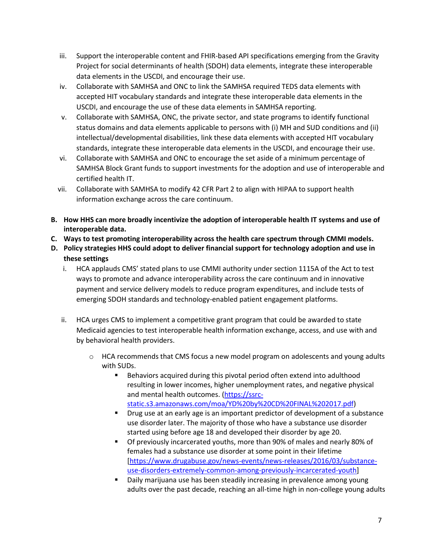- iii. Support the interoperable content and FHIR-based API specifications emerging from the Gravity Project for social determinants of health (SDOH) data elements, integrate these interoperable data elements in the USCDI, and encourage their use.
- iv. Collaborate with SAMHSA and ONC to link the SAMHSA required TEDS data elements with accepted HIT vocabulary standards and integrate these interoperable data elements in the USCDI, and encourage the use of these data elements in SAMHSA reporting.
- v. Collaborate with SAMHSA, ONC, the private sector, and state programs to identify functional status domains and data elements applicable to persons with (i) MH and SUD conditions and (ii) intellectual/developmental disabilities, link these data elements with accepted HIT vocabulary standards, integrate these interoperable data elements in the USCDI, and encourage their use.
- vi. Collaborate with SAMHSA and ONC to encourage the set aside of a minimum percentage of SAMHSA Block Grant funds to support investments for the adoption and use of interoperable and certified health IT.
- vii. Collaborate with SAMHSA to modify 42 CFR Part 2 to align with HIPAA to support health information exchange across the care continuum.
- **B. How HHS can more broadly incentivize the adoption of interoperable health IT systems and use of interoperable data.**
- **C. Ways to test promoting interoperability across the health care spectrum through CMMI models.**
- **D. Policy strategies HHS could adopt to deliver financial support for technology adoption and use in these settings**
	- i. HCA applauds CMS' stated plans to use CMMI authority under section 1115A of the Act to test ways to promote and advance interoperability across the care continuum and in innovative payment and service delivery models to reduce program expenditures, and include tests of emerging SDOH standards and technology-enabled patient engagement platforms.
	- ii. HCA urges CMS to implement a competitive grant program that could be awarded to state Medicaid agencies to test interoperable health information exchange, access, and use with and by behavioral health providers.
		- $\circ$  HCA recommends that CMS focus a new model program on adolescents and young adults with SUDs.
			- Behaviors acquired during this pivotal period often extend into adulthood resulting in lower incomes, higher unemployment rates, and negative physical and mental health outcomes. [\(https://ssrc](https://ssrc-static.s3.amazonaws.com/moa/YD%20by%20CD%20FINAL%202017.pdf)[static.s3.amazonaws.com/moa/YD%20by%20CD%20FINAL%202017.pdf\)](https://ssrc-static.s3.amazonaws.com/moa/YD%20by%20CD%20FINAL%202017.pdf)
			- Drug use at an early age is an important predictor of development of a substance use disorder later. The majority of those who have a substance use disorder started using before age 18 and developed their disorder by age 20.
			- Of previously incarcerated youths, more than 90% of males and nearly 80% of females had a substance use disorder at some point in their lifetime [\[https://www.drugabuse.gov/news-events/news-releases/2016/03/substance](https://www.drugabuse.gov/news-events/news-releases/2016/03/substance-use-disorders-extremely-common-among-previously-incarcerated-youth)[use-disorders-extremely-common-among-previously-incarcerated-youth\]](https://www.drugabuse.gov/news-events/news-releases/2016/03/substance-use-disorders-extremely-common-among-previously-incarcerated-youth)
			- Daily marijuana use has been steadily increasing in prevalence among young adults over the past decade, reaching an all-time high in non-college young adults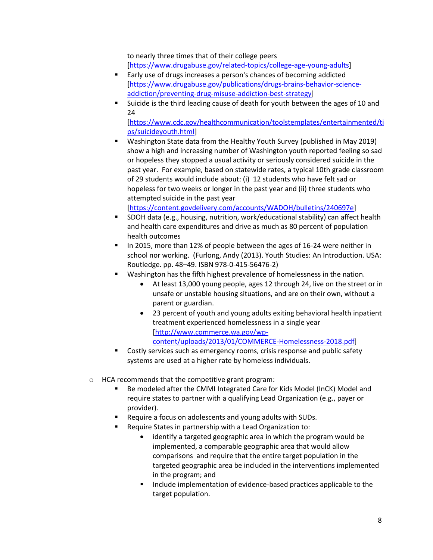to nearly three times that of their college peers [\[https://www.drugabuse.gov/related-topics/college-age-young-adults\]](https://www.drugabuse.gov/related-topics/college-age-young-adults)

- Early use of drugs increases a person's chances of becoming addicted [\[https://www.drugabuse.gov/publications/drugs-brains-behavior-science](https://www.drugabuse.gov/publications/drugs-brains-behavior-science-addiction/preventing-drug-misuse-addiction-best-strategy)[addiction/preventing-drug-misuse-addiction-best-strategy\]](https://www.drugabuse.gov/publications/drugs-brains-behavior-science-addiction/preventing-drug-misuse-addiction-best-strategy)
- Suicide is the third leading cause of death for youth between the ages of 10 and 24

[\[https://www.cdc.gov/healthcommunication/toolstemplates/entertainmented/ti](https://www.cdc.gov/healthcommunication/toolstemplates/entertainmented/tips/suicideyouth.html) [ps/suicideyouth.html\]](https://www.cdc.gov/healthcommunication/toolstemplates/entertainmented/tips/suicideyouth.html)

 Washington State data from the Healthy Youth Survey (published in May 2019) show a high and increasing number of Washington youth reported feeling so sad or hopeless they stopped a usual activity or seriously considered suicide in the past year. For example, based on statewide rates, a typical 10th grade classroom of 29 students would include about: (i) 12 students who have felt sad or hopeless for two weeks or longer in the past year and (ii) three students who attempted suicide in the past year

[\[https://content.govdelivery.com/accounts/WADOH/bulletins/240697e\]](https://content.govdelivery.com/accounts/WADOH/bulletins/240697e)

- SDOH data (e.g., housing, nutrition, work/educational stability) can affect health and health care expenditures and drive as much as 80 percent of population health outcomes
- In 2015, more than 12% of people between the ages of 16-24 were neither in school nor working. (Furlong, Andy (2013). Youth Studies: An Introduction. USA: Routledge. pp. 48–49. ISBN 978-0-415-56476-2)
- Washington has the fifth highest prevalence of homelessness in the nation.
	- At least 13,000 young people, ages 12 through 24, live on the street or in unsafe or unstable housing situations, and are on their own, without a parent or guardian.
	- 23 percent of youth and young adults exiting behavioral health inpatient treatment experienced homelessness in a single year [\[http://www.commerce.wa.gov/wp](http://www.commerce.wa.gov/wp-content/uploads/2013/01/COMMERCE-Homelessness-2018.pdf)[content/uploads/2013/01/COMMERCE-Homelessness-2018.pdf\]](http://www.commerce.wa.gov/wp-content/uploads/2013/01/COMMERCE-Homelessness-2018.pdf)
- Costly services such as emergency rooms, crisis response and public safety systems are used at a higher rate by homeless individuals.
- o HCA recommends that the competitive grant program:
	- Be modeled after the CMMI Integrated Care for Kids Model (InCK) Model and require states to partner with a qualifying Lead Organization (e.g., payer or provider).
	- Require a focus on adolescents and young adults with SUDs.
	- Require States in partnership with a Lead Organization to:
		- identify a targeted geographic area in which the program would be implemented, a comparable geographic area that would allow comparisons and require that the entire target population in the targeted geographic area be included in the interventions implemented in the program; and
		- **Include implementation of evidence-based practices applicable to the** target population.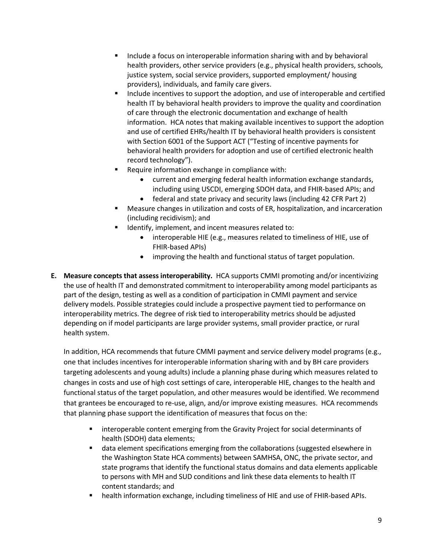- Include a focus on interoperable information sharing with and by behavioral health providers, other service providers (e.g., physical health providers, schools, justice system, social service providers, supported employment/ housing providers), individuals, and family care givers.
- Include incentives to support the adoption, and use of interoperable and certified health IT by behavioral health providers to improve the quality and coordination of care through the electronic documentation and exchange of health information. HCA notes that making available incentives to support the adoption and use of certified EHRs/health IT by behavioral health providers is consistent with Section 6001 of the Support ACT ("Testing of incentive payments for behavioral health providers for adoption and use of certified electronic health record technology").
- Require information exchange in compliance with:
	- current and emerging federal health information exchange standards, including using USCDI, emerging SDOH data, and FHIR-based APIs; and
	- federal and state privacy and security laws (including 42 CFR Part 2)
- Measure changes in utilization and costs of ER, hospitalization, and incarceration (including recidivism); and
- Identify, implement, and incent measures related to:
	- interoperable HIE (e.g., measures related to timeliness of HIE, use of FHIR-based APIs)
	- improving the health and functional status of target population.
- **E. Measure concepts that assess interoperability.** HCA supports CMMI promoting and/or incentivizing the use of health IT and demonstrated commitment to interoperability among model participants as part of the design, testing as well as a condition of participation in CMMI payment and service delivery models. Possible strategies could include a prospective payment tied to performance on interoperability metrics. The degree of risk tied to interoperability metrics should be adjusted depending on if model participants are large provider systems, small provider practice, or rural health system.

In addition, HCA recommends that future CMMI payment and service delivery model programs (e.g., one that includes incentives for interoperable information sharing with and by BH care providers targeting adolescents and young adults) include a planning phase during which measures related to changes in costs and use of high cost settings of care, interoperable HIE, changes to the health and functional status of the target population, and other measures would be identified. We recommend that grantees be encouraged to re-use, align, and/or improve existing measures. HCA recommends that planning phase support the identification of measures that focus on the:

- interoperable content emerging from the Gravity Project for social determinants of health (SDOH) data elements;
- data element specifications emerging from the collaborations (suggested elsewhere in the Washington State HCA comments) between SAMHSA, ONC, the private sector, and state programs that identify the functional status domains and data elements applicable to persons with MH and SUD conditions and link these data elements to health IT content standards; and
- health information exchange, including timeliness of HIE and use of FHIR-based APIs.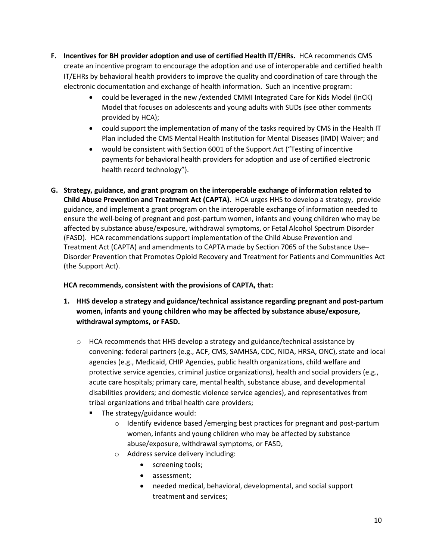- **F. Incentives for BH provider adoption and use of certified Health IT/EHRs.** HCA recommends CMS create an incentive program to encourage the adoption and use of interoperable and certified health IT/EHRs by behavioral health providers to improve the quality and coordination of care through the electronic documentation and exchange of health information. Such an incentive program:
	- could be leveraged in the new /extended CMMI Integrated Care for Kids Model (InCK) Model that focuses on adolescents and young adults with SUDs (see other comments provided by HCA);
	- could support the implementation of many of the tasks required by CMS in the Health IT Plan included the CMS Mental Health Institution for Mental Diseases (IMD) Waiver; and
	- would be consistent with Section 6001 of the Support Act ("Testing of incentive payments for behavioral health providers for adoption and use of certified electronic health record technology").
- **G. Strategy, guidance, and grant program on the interoperable exchange of information related to Child Abuse Prevention and Treatment Act (CAPTA).** HCA urges HHS to develop a strategy, provide guidance, and implement a grant program on the interoperable exchange of information needed to ensure the well-being of pregnant and post-partum women, infants and young children who may be affected by substance abuse/exposure, withdrawal symptoms, or Fetal Alcohol Spectrum Disorder (FASD). HCA recommendations support implementation of the Child Abuse Prevention and Treatment Act (CAPTA) and amendments to CAPTA made by Section 7065 of the Substance Use– Disorder Prevention that Promotes Opioid Recovery and Treatment for Patients and Communities Act (the Support Act).

# **HCA recommends, consistent with the provisions of CAPTA, that:**

- **1. HHS develop a strategy and guidance/technical assistance regarding pregnant and post-partum women, infants and young children who may be affected by substance abuse/exposure, withdrawal symptoms, or FASD.** 
	- $\circ$  HCA recommends that HHS develop a strategy and guidance/technical assistance by convening: federal partners (e.g., ACF, CMS, SAMHSA, CDC, NIDA, HRSA, ONC), state and local agencies (e.g., Medicaid, CHIP Agencies, public health organizations, child welfare and protective service agencies, criminal justice organizations), health and social providers (e.g., acute care hospitals; primary care, mental health, substance abuse, and developmental disabilities providers; and domestic violence service agencies), and representatives from tribal organizations and tribal health care providers;
		- The strategy/guidance would:
			- o Identify evidence based /emerging best practices for pregnant and post-partum women, infants and young children who may be affected by substance abuse/exposure, withdrawal symptoms, or FASD,
			- o Address service delivery including:
				- screening tools;
				- assessment;
				- needed medical, behavioral, developmental, and social support treatment and services;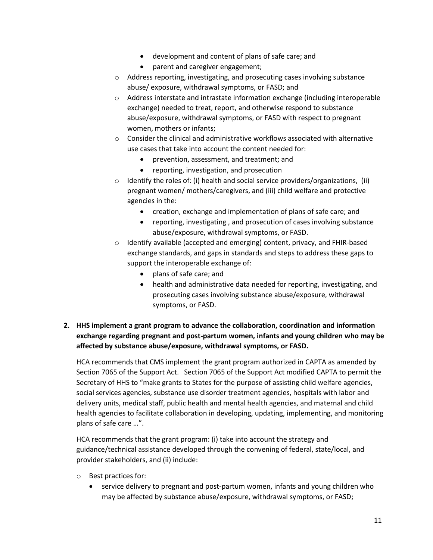- development and content of plans of safe care; and
- parent and caregiver engagement;
- o Address reporting, investigating, and prosecuting cases involving substance abuse/ exposure, withdrawal symptoms, or FASD; and
- o Address interstate and intrastate information exchange (including interoperable exchange) needed to treat, report, and otherwise respond to substance abuse/exposure, withdrawal symptoms, or FASD with respect to pregnant women, mothers or infants;
- $\circ$  Consider the clinical and administrative workflows associated with alternative use cases that take into account the content needed for:
	- prevention, assessment, and treatment; and
	- reporting, investigation, and prosecution
- $\circ$  Identify the roles of: (i) health and social service providers/organizations, (ii) pregnant women/ mothers/caregivers, and (iii) child welfare and protective agencies in the:
	- creation, exchange and implementation of plans of safe care; and
	- reporting, investigating , and prosecution of cases involving substance abuse/exposure, withdrawal symptoms, or FASD.
- o Identify available (accepted and emerging) content, privacy, and FHIR-based exchange standards, and gaps in standards and steps to address these gaps to support the interoperable exchange of:
	- plans of safe care; and
	- health and administrative data needed for reporting, investigating, and prosecuting cases involving substance abuse/exposure, withdrawal symptoms, or FASD.
- **2. HHS implement a grant program to advance the collaboration, coordination and information exchange regarding pregnant and post-partum women, infants and young children who may be affected by substance abuse/exposure, withdrawal symptoms, or FASD.**

HCA recommends that CMS implement the grant program authorized in CAPTA as amended by Section 7065 of the Support Act. Section 7065 of the Support Act modified CAPTA to permit the Secretary of HHS to "make grants to States for the purpose of assisting child welfare agencies, social services agencies, substance use disorder treatment agencies, hospitals with labor and delivery units, medical staff, public health and mental health agencies, and maternal and child health agencies to facilitate collaboration in developing, updating, implementing, and monitoring plans of safe care …".

HCA recommends that the grant program: (i) take into account the strategy and guidance/technical assistance developed through the convening of federal, state/local, and provider stakeholders, and (ii) include:

- o Best practices for:
	- service delivery to pregnant and post-partum women, infants and young children who may be affected by substance abuse/exposure, withdrawal symptoms, or FASD;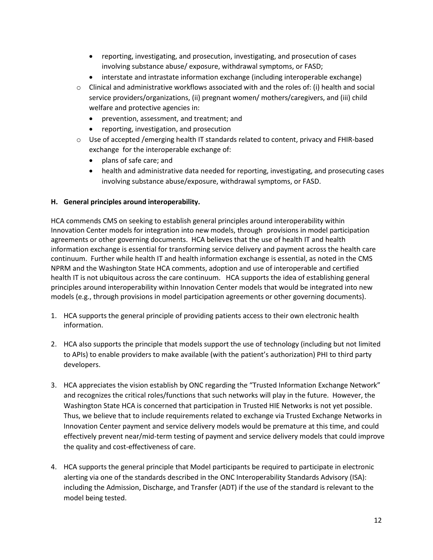- reporting, investigating, and prosecution, investigating, and prosecution of cases involving substance abuse/ exposure, withdrawal symptoms, or FASD;
- interstate and intrastate information exchange (including interoperable exchange)
- $\circ$  Clinical and administrative workflows associated with and the roles of: (i) health and social service providers/organizations, (ii) pregnant women/ mothers/caregivers, and (iii) child welfare and protective agencies in:
	- prevention, assessment, and treatment; and
	- reporting, investigation, and prosecution
- o Use of accepted /emerging health IT standards related to content, privacy and FHIR-based exchange for the interoperable exchange of:
	- plans of safe care; and
	- health and administrative data needed for reporting, investigating, and prosecuting cases involving substance abuse/exposure, withdrawal symptoms, or FASD.

#### **H. General principles around interoperability.**

HCA commends CMS on seeking to establish general principles around interoperability within Innovation Center models for integration into new models, through provisions in model participation agreements or other governing documents. HCA believes that the use of health IT and health information exchange is essential for transforming service delivery and payment across the health care continuum. Further while health IT and health information exchange is essential, as noted in the CMS NPRM and the Washington State HCA comments, adoption and use of interoperable and certified health IT is not ubiquitous across the care continuum. HCA supports the idea of establishing general principles around interoperability within Innovation Center models that would be integrated into new models (e.g., through provisions in model participation agreements or other governing documents).

- 1. HCA supports the general principle of providing patients access to their own electronic health information.
- 2. HCA also supports the principle that models support the use of technology (including but not limited to APIs) to enable providers to make available (with the patient's authorization) PHI to third party developers.
- 3. HCA appreciates the vision establish by ONC regarding the "Trusted Information Exchange Network" and recognizes the critical roles/functions that such networks will play in the future. However, the Washington State HCA is concerned that participation in Trusted HIE Networks is not yet possible. Thus, we believe that to include requirements related to exchange via Trusted Exchange Networks in Innovation Center payment and service delivery models would be premature at this time, and could effectively prevent near/mid-term testing of payment and service delivery models that could improve the quality and cost-effectiveness of care.
- 4. HCA supports the general principle that Model participants be required to participate in electronic alerting via one of the standards described in the ONC Interoperability Standards Advisory (ISA): including the Admission, Discharge, and Transfer (ADT) if the use of the standard is relevant to the model being tested.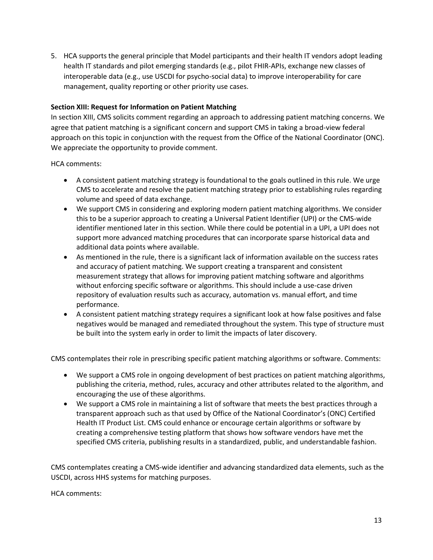5. HCA supports the general principle that Model participants and their health IT vendors adopt leading health IT standards and pilot emerging standards (e.g., pilot FHIR-APIs, exchange new classes of interoperable data (e.g., use USCDI for psycho-social data) to improve interoperability for care management, quality reporting or other priority use cases.

#### **Section XIII: Request for Information on Patient Matching**

In section XIII, CMS solicits comment regarding an approach to addressing patient matching concerns. We agree that patient matching is a significant concern and support CMS in taking a broad-view federal approach on this topic in conjunction with the request from the Office of the National Coordinator (ONC). We appreciate the opportunity to provide comment.

HCA comments:

- A consistent patient matching strategy is foundational to the goals outlined in this rule. We urge CMS to accelerate and resolve the patient matching strategy prior to establishing rules regarding volume and speed of data exchange.
- We support CMS in considering and exploring modern patient matching algorithms. We consider this to be a superior approach to creating a Universal Patient Identifier (UPI) or the CMS-wide identifier mentioned later in this section. While there could be potential in a UPI, a UPI does not support more advanced matching procedures that can incorporate sparse historical data and additional data points where available.
- As mentioned in the rule, there is a significant lack of information available on the success rates and accuracy of patient matching. We support creating a transparent and consistent measurement strategy that allows for improving patient matching software and algorithms without enforcing specific software or algorithms. This should include a use-case driven repository of evaluation results such as accuracy, automation vs. manual effort, and time performance.
- A consistent patient matching strategy requires a significant look at how false positives and false negatives would be managed and remediated throughout the system. This type of structure must be built into the system early in order to limit the impacts of later discovery.

CMS contemplates their role in prescribing specific patient matching algorithms or software. Comments:

- We support a CMS role in ongoing development of best practices on patient matching algorithms, publishing the criteria, method, rules, accuracy and other attributes related to the algorithm, and encouraging the use of these algorithms.
- We support a CMS role in maintaining a list of software that meets the best practices through a transparent approach such as that used by Office of the National Coordinator's (ONC) Certified Health IT Product List. CMS could enhance or encourage certain algorithms or software by creating a comprehensive testing platform that shows how software vendors have met the specified CMS criteria, publishing results in a standardized, public, and understandable fashion.

CMS contemplates creating a CMS-wide identifier and advancing standardized data elements, such as the USCDI, across HHS systems for matching purposes.

HCA comments: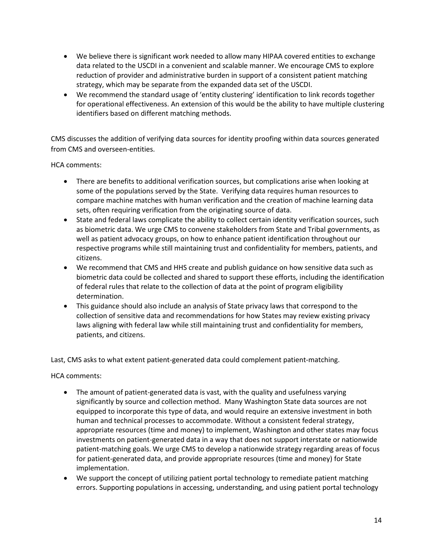- We believe there is significant work needed to allow many HIPAA covered entities to exchange data related to the USCDI in a convenient and scalable manner. We encourage CMS to explore reduction of provider and administrative burden in support of a consistent patient matching strategy, which may be separate from the expanded data set of the USCDI.
- We recommend the standard usage of 'entity clustering' identification to link records together for operational effectiveness. An extension of this would be the ability to have multiple clustering identifiers based on different matching methods.

CMS discusses the addition of verifying data sources for identity proofing within data sources generated from CMS and overseen-entities.

HCA comments:

- There are benefits to additional verification sources, but complications arise when looking at some of the populations served by the State. Verifying data requires human resources to compare machine matches with human verification and the creation of machine learning data sets, often requiring verification from the originating source of data.
- State and federal laws complicate the ability to collect certain identity verification sources, such as biometric data. We urge CMS to convene stakeholders from State and Tribal governments, as well as patient advocacy groups, on how to enhance patient identification throughout our respective programs while still maintaining trust and confidentiality for members, patients, and citizens.
- We recommend that CMS and HHS create and publish guidance on how sensitive data such as biometric data could be collected and shared to support these efforts, including the identification of federal rules that relate to the collection of data at the point of program eligibility determination.
- This guidance should also include an analysis of State privacy laws that correspond to the collection of sensitive data and recommendations for how States may review existing privacy laws aligning with federal law while still maintaining trust and confidentiality for members, patients, and citizens.

Last, CMS asks to what extent patient-generated data could complement patient-matching.

HCA comments:

- The amount of patient-generated data is vast, with the quality and usefulness varying significantly by source and collection method. Many Washington State data sources are not equipped to incorporate this type of data, and would require an extensive investment in both human and technical processes to accommodate. Without a consistent federal strategy, appropriate resources (time and money) to implement, Washington and other states may focus investments on patient-generated data in a way that does not support interstate or nationwide patient-matching goals. We urge CMS to develop a nationwide strategy regarding areas of focus for patient-generated data, and provide appropriate resources (time and money) for State implementation.
- We support the concept of utilizing patient portal technology to remediate patient matching errors. Supporting populations in accessing, understanding, and using patient portal technology